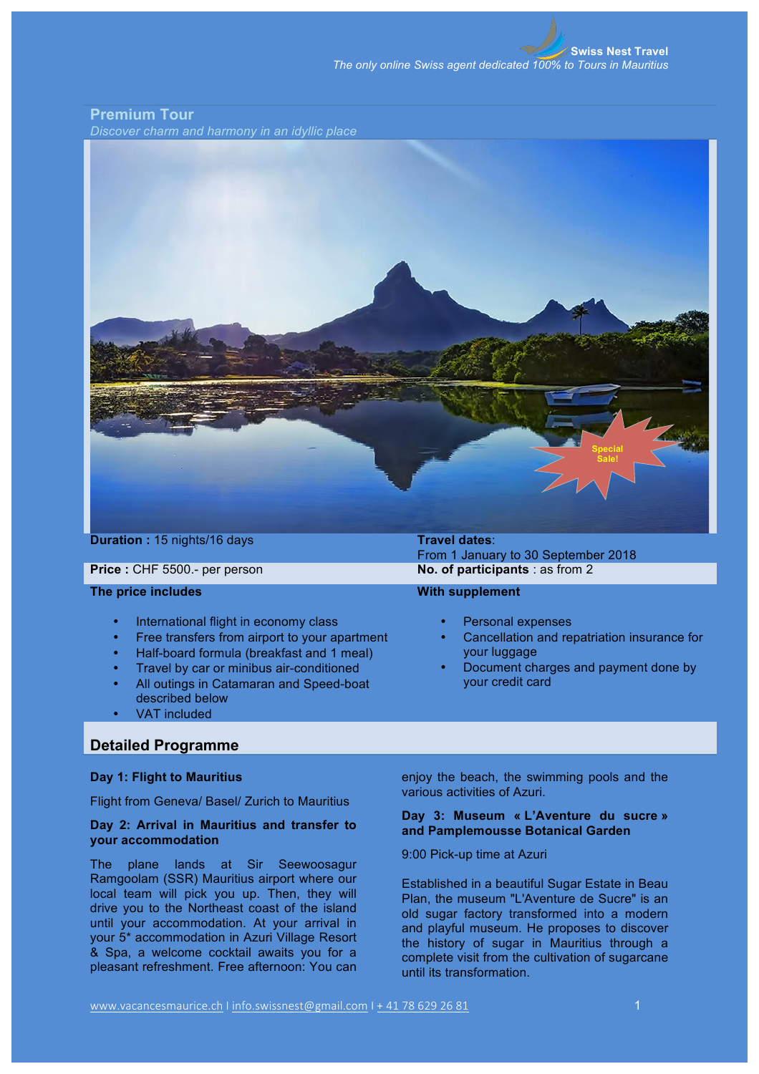# **Premium Tour**

*Discover charm and harmony in an idyllic place*



**Duration** : 15 nights/16 days **Travel dates:** 

## **The price includes**

- International flight in economy class
- Free transfers from airport to your apartment
- Half-board formula (breakfast and 1 meal)
- Travel by car or minibus air-conditioned
- All outings in Catamaran and Speed-boat described below
- VAT included

# **Detailed Programme**

## **Day 1: Flight to Mauritius**

Flight from Geneva/ Basel/ Zurich to Mauritius

## **Day 2: Arrival in Mauritius and transfer to your accommodation**

The plane lands at Sir Seewoosagur Ramgoolam (SSR) Mauritius airport where our local team will pick you up. Then, they will drive you to the Northeast coast of the island until your accommodation. At your arrival in your 5\* accommodation in Azuri Village Resort & Spa, a welcome cocktail awaits you for a pleasant refreshment. Free afternoon: You can

From 1 January to 30 September 2018 **Price** : CHF 5500.- per person **No. of participants** : as from 2

### **With supplement**

- Personal expenses
- Cancellation and repatriation insurance for your luggage
- Document charges and payment done by your credit card

enjoy the beach, the swimming pools and the various activities of Azuri.

## **Day 3: Museum « L'Aventure du sucre » and Pamplemousse Botanical Garden**

9:00 Pick-up time at Azuri

Established in a beautiful Sugar Estate in Beau Plan, the museum "L'Aventure de Sucre" is an old sugar factory transformed into a modern and playful museum. He proposes to discover the history of sugar in Mauritius through a complete visit from the cultivation of sugarcane until its transformation.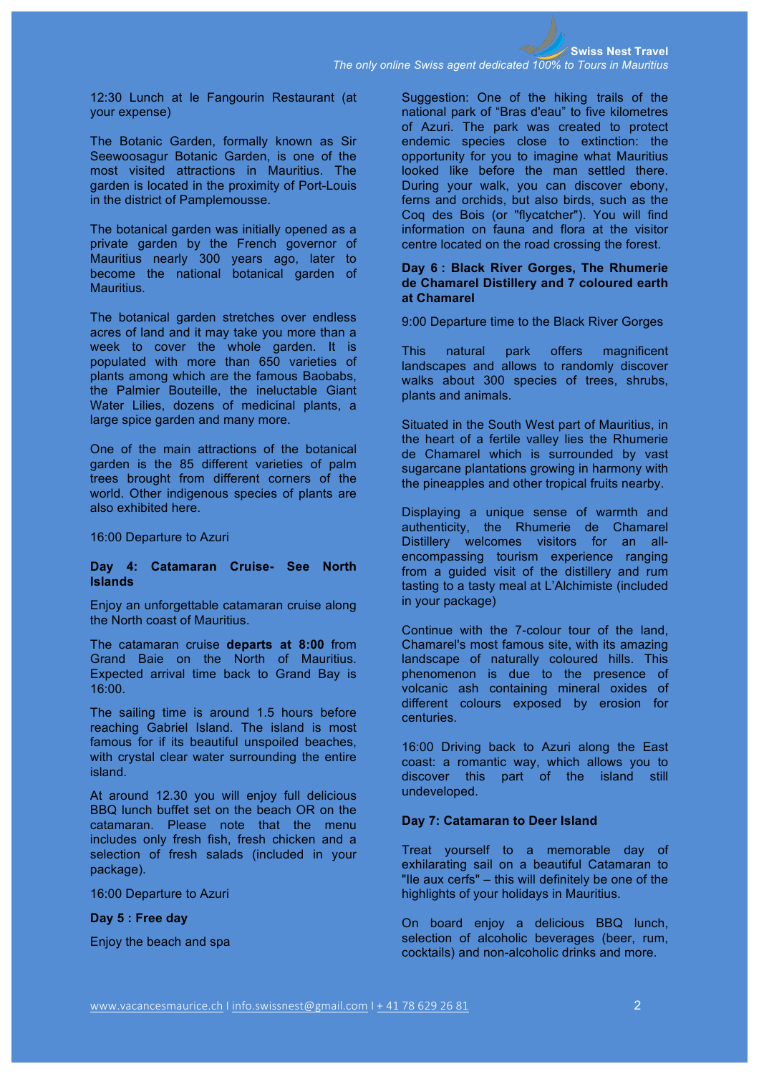12:30 Lunch at le Fangourin Restaurant (at your expense)

The Botanic Garden, formally known as Sir Seewoosagur Botanic Garden, is one of the most visited attractions in Mauritius. The garden is located in the proximity of Port-Louis in the district of Pamplemousse.

The botanical garden was initially opened as a private garden by the French governor of Mauritius nearly 300 years ago, later to become the national botanical garden of Mauritius.

The botanical garden stretches over endless acres of land and it may take you more than a week to cover the whole garden. It is populated with more than 650 varieties of plants among which are the famous Baobabs, the Palmier Bouteille, the ineluctable Giant Water Lilies, dozens of medicinal plants, a large spice garden and many more.

One of the main attractions of the botanical garden is the 85 different varieties of palm trees brought from different corners of the world. Other indigenous species of plants are also exhibited here.

16:00 Departure to Azuri

## **Day 4: Catamaran Cruise- See North Islands**

Enjoy an unforgettable catamaran cruise along the North coast of Mauritius.

The catamaran cruise **departs at 8:00** from Grand Baie on the North of Mauritius. Expected arrival time back to Grand Bay is 16:00.

The sailing time is around 1.5 hours before reaching Gabriel Island. The island is most famous for if its beautiful unspoiled beaches, with crystal clear water surrounding the entire island.

At around 12.30 you will enjoy full delicious BBQ lunch buffet set on the beach OR on the catamaran. Please note that the menu includes only fresh fish, fresh chicken and a selection of fresh salads (included in your package).

16:00 Departure to Azuri

**Day 5 : Free day**

Enjoy the beach and spa

Suggestion: One of the hiking trails of the national park of "Bras d'eau" to five kilometres of Azuri. The park was created to protect endemic species close to extinction: the opportunity for you to imagine what Mauritius looked like before the man settled there. During your walk, you can discover ebony, ferns and orchids, but also birds, such as the Coq des Bois (or "flycatcher"). You will find information on fauna and flora at the visitor centre located on the road crossing the forest.

### **Day 6 : Black River Gorges, The Rhumerie de Chamarel Distillery and 7 coloured earth at Chamarel**

9:00 Departure time to the Black River Gorges

This natural park offers magnificent landscapes and allows to randomly discover walks about 300 species of trees, shrubs, plants and animals.

Situated in the South West part of Mauritius, in the heart of a fertile valley lies the Rhumerie de Chamarel which is surrounded by vast sugarcane plantations growing in harmony with the pineapples and other tropical fruits nearby.

Displaying a unique sense of warmth and authenticity, the Rhumerie de Chamarel Distillery welcomes visitors for an allencompassing tourism experience ranging from a guided visit of the distillery and rum tasting to a tasty meal at L'Alchimiste (included in your package)

Continue with the 7-colour tour of the land, Chamarel's most famous site, with its amazing landscape of naturally coloured hills. This phenomenon is due to the presence of volcanic ash containing mineral oxides of different colours exposed by erosion for centuries.

16:00 Driving back to Azuri along the East coast: a romantic way, which allows you to discover this part of the island still undeveloped.

#### **Day 7: Catamaran to Deer Island**

Treat yourself to a memorable day of exhilarating sail on a beautiful Catamaran to "Ile aux cerfs" – this will definitely be one of the highlights of your holidays in Mauritius.

On board enjoy a delicious BBQ lunch, selection of alcoholic beverages (beer, rum, cocktails) and non-alcoholic drinks and more.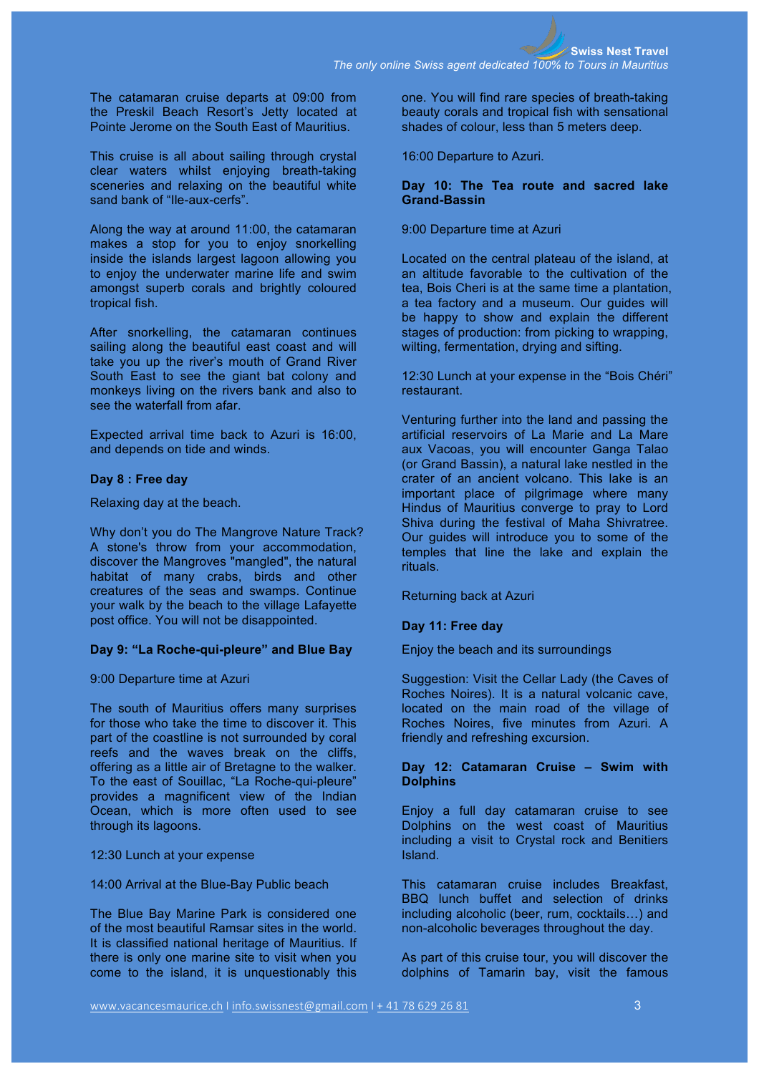The catamaran cruise departs at 09:00 from the Preskil Beach Resort's Jetty located at Pointe Jerome on the South East of Mauritius.

This cruise is all about sailing through crystal clear waters whilst enjoying breath-taking sceneries and relaxing on the beautiful white sand bank of "Ile-aux-cerfs".

Along the way at around 11:00, the catamaran makes a stop for you to enjoy snorkelling inside the islands largest lagoon allowing you to enjoy the underwater marine life and swim amongst superb corals and brightly coloured tropical fish.

After snorkelling, the catamaran continues sailing along the beautiful east coast and will take you up the river's mouth of Grand River South East to see the giant bat colony and monkeys living on the rivers bank and also to see the waterfall from afar.

Expected arrival time back to Azuri is 16:00, and depends on tide and winds.

## **Day 8 : Free day**

Relaxing day at the beach.

Why don't you do The Mangrove Nature Track? A stone's throw from your accommodation, discover the Mangroves "mangled", the natural habitat of many crabs, birds and other creatures of the seas and swamps. Continue your walk by the beach to the village Lafayette post office. You will not be disappointed.

#### **Day 9: "La Roche-qui-pleure" and Blue Bay**

9:00 Departure time at Azuri

The south of Mauritius offers many surprises for those who take the time to discover it. This part of the coastline is not surrounded by coral reefs and the waves break on the cliffs, offering as a little air of Bretagne to the walker. To the east of Souillac, "La Roche-qui-pleure" provides a magnificent view of the Indian Ocean, which is more often used to see through its lagoons.

12:30 Lunch at your expense

14:00 Arrival at the Blue-Bay Public beach

The Blue Bay Marine Park is considered one of the most beautiful Ramsar sites in the world. It is classified national heritage of Mauritius. If there is only one marine site to visit when you come to the island, it is unquestionably this

one. You will find rare species of breath-taking beauty corals and tropical fish with sensational shades of colour, less than 5 meters deep.

16:00 Departure to Azuri.

#### **Day 10: The Tea route and sacred lake Grand-Bassin**

#### 9:00 Departure time at Azuri

Located on the central plateau of the island, at an altitude favorable to the cultivation of the tea, Bois Cheri is at the same time a plantation, a tea factory and a museum. Our guides will be happy to show and explain the different stages of production: from picking to wrapping, wilting, fermentation, drying and sifting.

12:30 Lunch at your expense in the "Bois Chéri" restaurant.

Venturing further into the land and passing the artificial reservoirs of La Marie and La Mare aux Vacoas, you will encounter Ganga Talao (or Grand Bassin), a natural lake nestled in the crater of an ancient volcano. This lake is an important place of pilgrimage where many Hindus of Mauritius converge to pray to Lord Shiva during the festival of Maha Shivratree. Our guides will introduce you to some of the temples that line the lake and explain the rituals.

Returning back at Azuri

## **Day 11: Free day**

Enjoy the beach and its surroundings

Suggestion: Visit the Cellar Lady (the Caves of Roches Noires). It is a natural volcanic cave, located on the main road of the village of Roches Noires, five minutes from Azuri. A friendly and refreshing excursion.

#### **Day 12: Catamaran Cruise – Swim with Dolphins**

Enjoy a full day catamaran cruise to see Dolphins on the west coast of Mauritius including a visit to Crystal rock and Benitiers Island.

This catamaran cruise includes Breakfast, BBQ lunch buffet and selection of drinks including alcoholic (beer, rum, cocktails…) and non-alcoholic beverages throughout the day.

As part of this cruise tour, you will discover the dolphins of Tamarin bay, visit the famous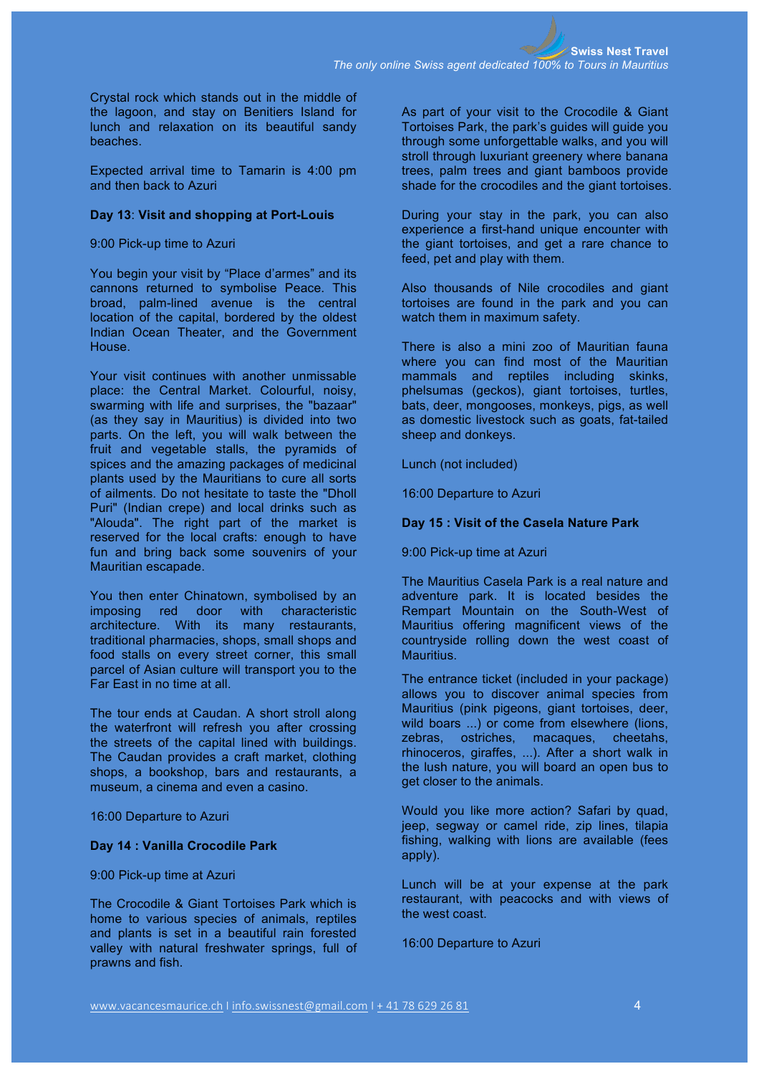Crystal rock which stands out in the middle of the lagoon, and stay on Benitiers Island for lunch and relaxation on its beautiful sandy beaches.

Expected arrival time to Tamarin is 4:00 pm and then back to Azuri

#### **Day 13**: **Visit and shopping at Port-Louis**

9:00 Pick-up time to Azuri

You begin your visit by "Place d'armes" and its cannons returned to symbolise Peace. This broad, palm-lined avenue is the central location of the capital, bordered by the oldest Indian Ocean Theater, and the Government House.

Your visit continues with another unmissable place: the Central Market. Colourful, noisy, swarming with life and surprises, the "bazaar" (as they say in Mauritius) is divided into two parts. On the left, you will walk between the fruit and vegetable stalls, the pyramids of spices and the amazing packages of medicinal plants used by the Mauritians to cure all sorts of ailments. Do not hesitate to taste the "Dholl Puri" (Indian crepe) and local drinks such as "Alouda". The right part of the market is reserved for the local crafts: enough to have fun and bring back some souvenirs of your Mauritian escapade.

You then enter Chinatown, symbolised by an imposing red door with characteristic architecture. With its many restaurants, traditional pharmacies, shops, small shops and food stalls on every street corner, this small parcel of Asian culture will transport you to the Far East in no time at all.

The tour ends at Caudan. A short stroll along the waterfront will refresh you after crossing the streets of the capital lined with buildings. The Caudan provides a craft market, clothing shops, a bookshop, bars and restaurants, a museum, a cinema and even a casino.

16:00 Departure to Azuri

## **Day 14 : Vanilla Crocodile Park**

9:00 Pick-up time at Azuri

The Crocodile & Giant Tortoises Park which is home to various species of animals, reptiles and plants is set in a beautiful rain forested valley with natural freshwater springs, full of prawns and fish.

As part of your visit to the Crocodile & Giant Tortoises Park, the park's guides will guide you through some unforgettable walks, and you will stroll through luxuriant greenery where banana trees, palm trees and giant bamboos provide shade for the crocodiles and the giant tortoises.

During your stay in the park, you can also experience a first-hand unique encounter with the giant tortoises, and get a rare chance to feed, pet and play with them.

Also thousands of Nile crocodiles and giant tortoises are found in the park and you can watch them in maximum safety.

There is also a mini zoo of Mauritian fauna where you can find most of the Mauritian mammals and reptiles including skinks, phelsumas (geckos), giant tortoises, turtles, bats, deer, mongooses, monkeys, pigs, as well as domestic livestock such as goats, fat-tailed sheep and donkeys.

Lunch (not included)

16:00 Departure to Azuri

## **Day 15 : Visit of the Casela Nature Park**

9:00 Pick-up time at Azuri

The Mauritius Casela Park is a real nature and adventure park. It is located besides the Rempart Mountain on the South-West of Mauritius offering magnificent views of the countryside rolling down the west coast of Mauritius.

The entrance ticket (included in your package) allows you to discover animal species from Mauritius (pink pigeons, giant tortoises, deer, wild boars ...) or come from elsewhere (lions, zebras, ostriches, macaques, cheetahs, rhinoceros, giraffes, ...). After a short walk in the lush nature, you will board an open bus to get closer to the animals.

Would you like more action? Safari by quad, jeep, segway or camel ride, zip lines, tilapia fishing, walking with lions are available (fees apply).

Lunch will be at your expense at the park restaurant, with peacocks and with views of the west coast.

16:00 Departure to Azuri